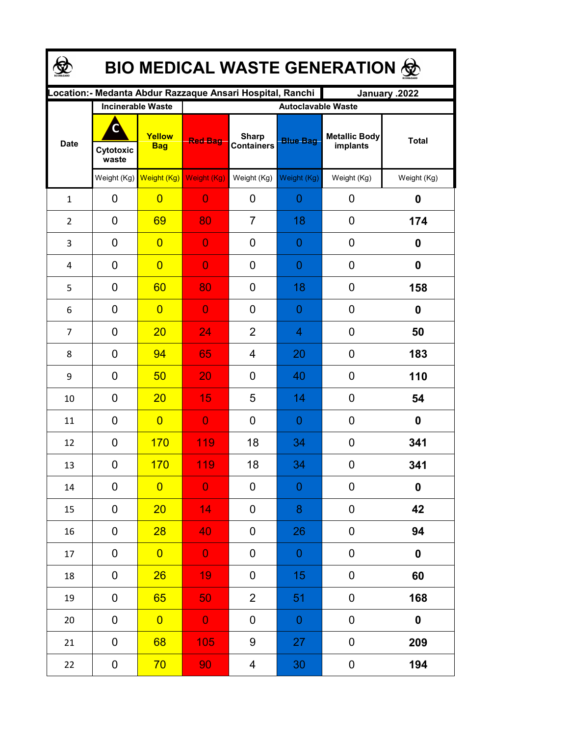| <b>BIO MEDICAL WASTE GENERATION ©</b> |                    |                                                  |                                                                            |                                   |                                              |                                  |                  |  |  |  |  |
|---------------------------------------|--------------------|--------------------------------------------------|----------------------------------------------------------------------------|-----------------------------------|----------------------------------------------|----------------------------------|------------------|--|--|--|--|
|                                       |                    |                                                  | ocation: - Medanta Abdur Razzaque Ansari Hospital, Ranchi<br>January .2022 |                                   |                                              |                                  |                  |  |  |  |  |
| <b>Date</b>                           | Cytotoxic<br>waste | <b>Incinerable Waste</b><br>Yellow<br><b>Bag</b> | <b>Red Bag</b>                                                             | <b>Sharp</b><br><b>Containers</b> | <b>Autoclavable Waste</b><br><b>Blue Bag</b> | <b>Metallic Body</b><br>implants | <b>Total</b>     |  |  |  |  |
|                                       | Weight (Kg)        | Weight (Kg)                                      | Weight (Kg)                                                                | Weight (Kg)                       | Weight (Kg)                                  | Weight (Kg)                      | Weight (Kg)      |  |  |  |  |
| $\mathbf{1}$                          | 0                  | $\overline{0}$                                   | $\overline{0}$                                                             | 0                                 | $\overline{0}$                               | 0                                | 0                |  |  |  |  |
| $\overline{2}$                        | 0                  | 69                                               | 80                                                                         | $\overline{7}$                    | 18                                           | $\mathbf 0$                      | 174              |  |  |  |  |
| 3                                     | 0                  | $\overline{0}$                                   | $\overline{0}$                                                             | 0                                 | 0                                            | 0                                | 0                |  |  |  |  |
| 4                                     | 0                  | $\overline{0}$                                   | $\overline{0}$                                                             | 0                                 | $\overline{0}$                               | 0                                | 0                |  |  |  |  |
| 5                                     | $\overline{0}$     | 60                                               | 80                                                                         | 0                                 | 18                                           | 0                                | 158              |  |  |  |  |
| 6                                     | 0                  | $\overline{0}$                                   | $\overline{0}$                                                             | 0                                 | 0                                            | 0                                | 0                |  |  |  |  |
| $\overline{7}$                        | 0                  | 20                                               | 24                                                                         | $\overline{2}$                    | $\overline{4}$                               | 0                                | 50               |  |  |  |  |
| 8                                     | $\overline{0}$     | 94                                               | 65                                                                         | 4                                 | 20                                           | 0                                | 183              |  |  |  |  |
| 9                                     | 0                  | 50                                               | 20                                                                         | 0                                 | 40                                           | 0                                | 110              |  |  |  |  |
| 10                                    | 0                  | 20                                               | 15                                                                         | 5                                 | 14                                           | 0                                | 54               |  |  |  |  |
| 11                                    | 0                  | $\overline{0}$                                   | $\overline{0}$                                                             | 0                                 | $\overline{0}$                               | 0                                | 0                |  |  |  |  |
| 12                                    | 0                  | 170                                              | 119                                                                        | 18                                | 34                                           | 0                                | 341              |  |  |  |  |
| 13                                    | 0                  | <u>170</u>                                       | 119                                                                        | 18                                | 34                                           | 0                                | 341              |  |  |  |  |
| 14                                    | 0                  | $\overline{0}$                                   | $\overline{0}$                                                             | 0                                 | $\boldsymbol{0}$                             | 0                                | $\boldsymbol{0}$ |  |  |  |  |
| 15                                    | 0                  | 20                                               | 14                                                                         | 0                                 | 8                                            | 0                                | 42               |  |  |  |  |
| 16                                    | 0                  | 28                                               | 40                                                                         | 0                                 | 26                                           | 0                                | 94               |  |  |  |  |
| 17                                    | 0                  | $\overline{0}$                                   | $\mathbf 0$                                                                | 0                                 | $\theta$                                     | 0                                | $\pmb{0}$        |  |  |  |  |
| 18                                    | 0                  | 26                                               | 19                                                                         | 0                                 | 15                                           | 0                                | 60               |  |  |  |  |
| 19                                    | 0                  | 65                                               | 50                                                                         | $\overline{2}$                    | 51                                           | 0                                | 168              |  |  |  |  |
| 20                                    | 0                  | $\overline{0}$                                   | $\mathbf 0$                                                                | 0                                 | $\mathbf 0$                                  | 0                                | 0                |  |  |  |  |
| 21                                    | 0                  | 68                                               | 105                                                                        | 9                                 | 27                                           | 0                                | 209              |  |  |  |  |
| 22                                    | 0                  | 70                                               | 90 <sub>1</sub>                                                            | 4                                 | 30                                           | $\boldsymbol{0}$                 | 194              |  |  |  |  |